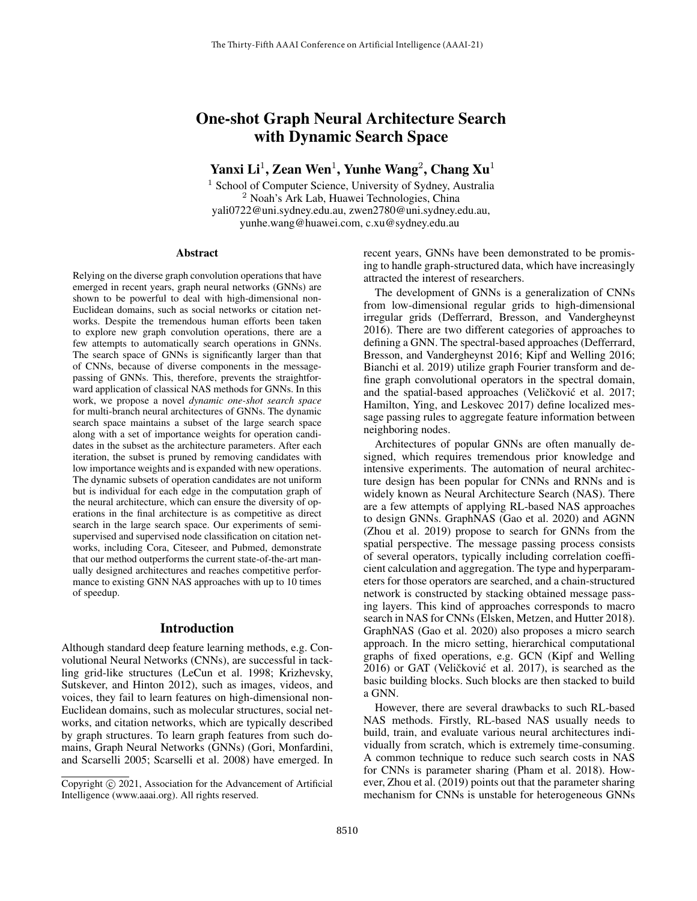# One-shot Graph Neural Architecture Search with Dynamic Search Space

Yanxi Li<sup>1</sup>, Zean Wen<sup>1</sup>, Yunhe Wang<sup>2</sup>, Chang Xu<sup>1</sup>

<sup>1</sup> School of Computer Science, University of Sydney, Australia <sup>2</sup> Noah's Ark Lab, Huawei Technologies, China yali0722@uni.sydney.edu.au, zwen2780@uni.sydney.edu.au, yunhe.wang@huawei.com, c.xu@sydney.edu.au

#### Abstract

Relying on the diverse graph convolution operations that have emerged in recent years, graph neural networks (GNNs) are shown to be powerful to deal with high-dimensional non-Euclidean domains, such as social networks or citation networks. Despite the tremendous human efforts been taken to explore new graph convolution operations, there are a few attempts to automatically search operations in GNNs. The search space of GNNs is significantly larger than that of CNNs, because of diverse components in the messagepassing of GNNs. This, therefore, prevents the straightforward application of classical NAS methods for GNNs. In this work, we propose a novel *dynamic one-shot search space* for multi-branch neural architectures of GNNs. The dynamic search space maintains a subset of the large search space along with a set of importance weights for operation candidates in the subset as the architecture parameters. After each iteration, the subset is pruned by removing candidates with low importance weights and is expanded with new operations. The dynamic subsets of operation candidates are not uniform but is individual for each edge in the computation graph of the neural architecture, which can ensure the diversity of operations in the final architecture is as competitive as direct search in the large search space. Our experiments of semisupervised and supervised node classification on citation networks, including Cora, Citeseer, and Pubmed, demonstrate that our method outperforms the current state-of-the-art manually designed architectures and reaches competitive performance to existing GNN NAS approaches with up to 10 times of speedup.

### Introduction

Although standard deep feature learning methods, e.g. Convolutional Neural Networks (CNNs), are successful in tackling grid-like structures (LeCun et al. 1998; Krizhevsky, Sutskever, and Hinton 2012), such as images, videos, and voices, they fail to learn features on high-dimensional non-Euclidean domains, such as molecular structures, social networks, and citation networks, which are typically described by graph structures. To learn graph features from such domains, Graph Neural Networks (GNNs) (Gori, Monfardini, and Scarselli 2005; Scarselli et al. 2008) have emerged. In recent years, GNNs have been demonstrated to be promising to handle graph-structured data, which have increasingly attracted the interest of researchers.

The development of GNNs is a generalization of CNNs from low-dimensional regular grids to high-dimensional irregular grids (Defferrard, Bresson, and Vandergheynst 2016). There are two different categories of approaches to defining a GNN. The spectral-based approaches (Defferrard, Bresson, and Vandergheynst 2016; Kipf and Welling 2016; Bianchi et al. 2019) utilize graph Fourier transform and define graph convolutional operators in the spectral domain, and the spatial-based approaches (Veličković et al. 2017; Hamilton, Ying, and Leskovec 2017) define localized message passing rules to aggregate feature information between neighboring nodes.

Architectures of popular GNNs are often manually designed, which requires tremendous prior knowledge and intensive experiments. The automation of neural architecture design has been popular for CNNs and RNNs and is widely known as Neural Architecture Search (NAS). There are a few attempts of applying RL-based NAS approaches to design GNNs. GraphNAS (Gao et al. 2020) and AGNN (Zhou et al. 2019) propose to search for GNNs from the spatial perspective. The message passing process consists of several operators, typically including correlation coefficient calculation and aggregation. The type and hyperparameters for those operators are searched, and a chain-structured network is constructed by stacking obtained message passing layers. This kind of approaches corresponds to macro search in NAS for CNNs (Elsken, Metzen, and Hutter 2018). GraphNAS (Gao et al. 2020) also proposes a micro search approach. In the micro setting, hierarchical computational graphs of fixed operations, e.g. GCN (Kipf and Welling  $2016$ ) or GAT (Veličković et al.  $2017$ ), is searched as the basic building blocks. Such blocks are then stacked to build a GNN.

However, there are several drawbacks to such RL-based NAS methods. Firstly, RL-based NAS usually needs to build, train, and evaluate various neural architectures individually from scratch, which is extremely time-consuming. A common technique to reduce such search costs in NAS for CNNs is parameter sharing (Pham et al. 2018). However, Zhou et al. (2019) points out that the parameter sharing mechanism for CNNs is unstable for heterogeneous GNNs

Copyright © 2021, Association for the Advancement of Artificial Intelligence (www.aaai.org). All rights reserved.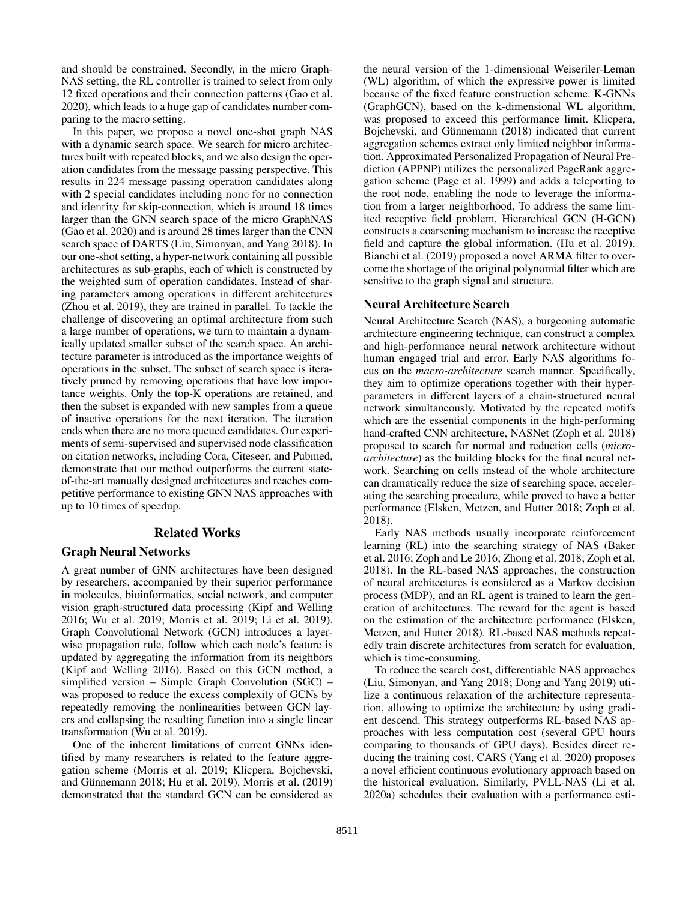and should be constrained. Secondly, in the micro Graph-NAS setting, the RL controller is trained to select from only 12 fixed operations and their connection patterns (Gao et al. 2020), which leads to a huge gap of candidates number comparing to the macro setting.

In this paper, we propose a novel one-shot graph NAS with a dynamic search space. We search for micro architectures built with repeated blocks, and we also design the operation candidates from the message passing perspective. This results in 224 message passing operation candidates along with 2 special candidates including none for no connection and identity for skip-connection, which is around 18 times larger than the GNN search space of the micro GraphNAS (Gao et al. 2020) and is around 28 times larger than the CNN search space of DARTS (Liu, Simonyan, and Yang 2018). In our one-shot setting, a hyper-network containing all possible architectures as sub-graphs, each of which is constructed by the weighted sum of operation candidates. Instead of sharing parameters among operations in different architectures (Zhou et al. 2019), they are trained in parallel. To tackle the challenge of discovering an optimal architecture from such a large number of operations, we turn to maintain a dynamically updated smaller subset of the search space. An architecture parameter is introduced as the importance weights of operations in the subset. The subset of search space is iteratively pruned by removing operations that have low importance weights. Only the top-K operations are retained, and then the subset is expanded with new samples from a queue of inactive operations for the next iteration. The iteration ends when there are no more queued candidates. Our experiments of semi-supervised and supervised node classification on citation networks, including Cora, Citeseer, and Pubmed, demonstrate that our method outperforms the current stateof-the-art manually designed architectures and reaches competitive performance to existing GNN NAS approaches with up to 10 times of speedup.

## Related Works

#### Graph Neural Networks

A great number of GNN architectures have been designed by researchers, accompanied by their superior performance in molecules, bioinformatics, social network, and computer vision graph-structured data processing (Kipf and Welling 2016; Wu et al. 2019; Morris et al. 2019; Li et al. 2019). Graph Convolutional Network (GCN) introduces a layerwise propagation rule, follow which each node's feature is updated by aggregating the information from its neighbors (Kipf and Welling 2016). Based on this GCN method, a simplified version – Simple Graph Convolution (SGC) – was proposed to reduce the excess complexity of GCNs by repeatedly removing the nonlinearities between GCN layers and collapsing the resulting function into a single linear transformation (Wu et al. 2019).

One of the inherent limitations of current GNNs identified by many researchers is related to the feature aggregation scheme (Morris et al. 2019; Klicpera, Bojchevski, and Günnemann 2018; Hu et al. 2019). Morris et al. (2019) demonstrated that the standard GCN can be considered as

the neural version of the 1-dimensional Weiseriler-Leman (WL) algorithm, of which the expressive power is limited because of the fixed feature construction scheme. K-GNNs (GraphGCN), based on the k-dimensional WL algorithm, was proposed to exceed this performance limit. Klicpera, Bojchevski, and Günnemann (2018) indicated that current aggregation schemes extract only limited neighbor information. Approximated Personalized Propagation of Neural Prediction (APPNP) utilizes the personalized PageRank aggregation scheme (Page et al. 1999) and adds a teleporting to the root node, enabling the node to leverage the information from a larger neighborhood. To address the same limited receptive field problem, Hierarchical GCN (H-GCN) constructs a coarsening mechanism to increase the receptive field and capture the global information. (Hu et al. 2019). Bianchi et al. (2019) proposed a novel ARMA filter to overcome the shortage of the original polynomial filter which are sensitive to the graph signal and structure.

#### Neural Architecture Search

Neural Architecture Search (NAS), a burgeoning automatic architecture engineering technique, can construct a complex and high-performance neural network architecture without human engaged trial and error. Early NAS algorithms focus on the *macro-architecture* search manner. Specifically, they aim to optimize operations together with their hyperparameters in different layers of a chain-structured neural network simultaneously. Motivated by the repeated motifs which are the essential components in the high-performing hand-crafted CNN architecture, NASNet (Zoph et al. 2018) proposed to search for normal and reduction cells (*microarchitecture*) as the building blocks for the final neural network. Searching on cells instead of the whole architecture can dramatically reduce the size of searching space, accelerating the searching procedure, while proved to have a better performance (Elsken, Metzen, and Hutter 2018; Zoph et al. 2018).

Early NAS methods usually incorporate reinforcement learning (RL) into the searching strategy of NAS (Baker et al. 2016; Zoph and Le 2016; Zhong et al. 2018; Zoph et al. 2018). In the RL-based NAS approaches, the construction of neural architectures is considered as a Markov decision process (MDP), and an RL agent is trained to learn the generation of architectures. The reward for the agent is based on the estimation of the architecture performance (Elsken, Metzen, and Hutter 2018). RL-based NAS methods repeatedly train discrete architectures from scratch for evaluation, which is time-consuming.

To reduce the search cost, differentiable NAS approaches (Liu, Simonyan, and Yang 2018; Dong and Yang 2019) utilize a continuous relaxation of the architecture representation, allowing to optimize the architecture by using gradient descend. This strategy outperforms RL-based NAS approaches with less computation cost (several GPU hours comparing to thousands of GPU days). Besides direct reducing the training cost, CARS (Yang et al. 2020) proposes a novel efficient continuous evolutionary approach based on the historical evaluation. Similarly, PVLL-NAS (Li et al. 2020a) schedules their evaluation with a performance esti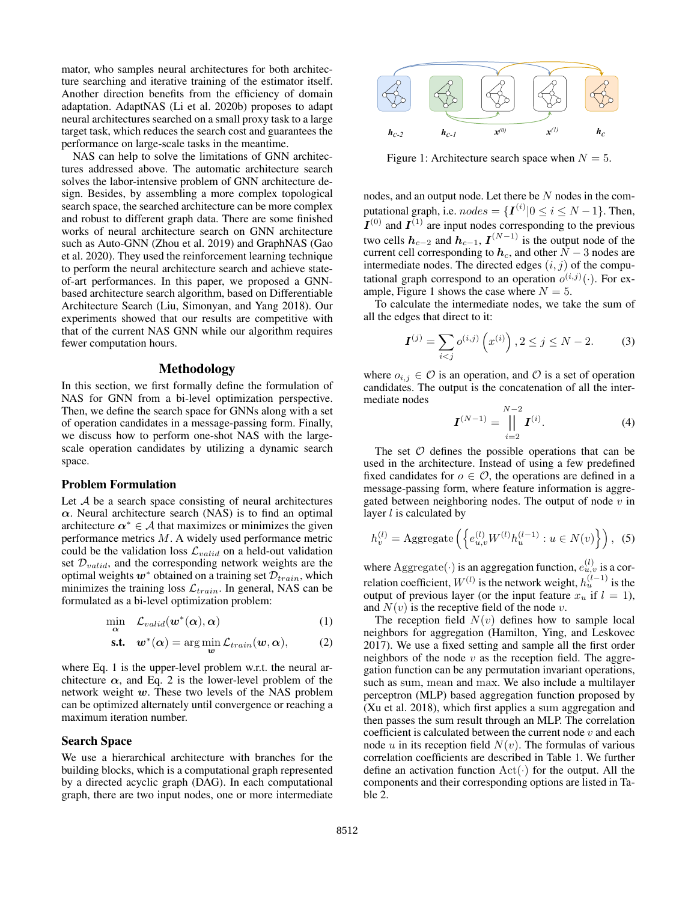mator, who samples neural architectures for both architecture searching and iterative training of the estimator itself. Another direction benefits from the efficiency of domain adaptation. AdaptNAS (Li et al. 2020b) proposes to adapt neural architectures searched on a small proxy task to a large target task, which reduces the search cost and guarantees the performance on large-scale tasks in the meantime.

NAS can help to solve the limitations of GNN architectures addressed above. The automatic architecture search solves the labor-intensive problem of GNN architecture design. Besides, by assembling a more complex topological search space, the searched architecture can be more complex and robust to different graph data. There are some finished works of neural architecture search on GNN architecture such as Auto-GNN (Zhou et al. 2019) and GraphNAS (Gao et al. 2020). They used the reinforcement learning technique to perform the neural architecture search and achieve stateof-art performances. In this paper, we proposed a GNNbased architecture search algorithm, based on Differentiable Architecture Search (Liu, Simonyan, and Yang 2018). Our experiments showed that our results are competitive with that of the current NAS GNN while our algorithm requires fewer computation hours.

### Methodology

In this section, we first formally define the formulation of NAS for GNN from a bi-level optimization perspective. Then, we define the search space for GNNs along with a set of operation candidates in a message-passing form. Finally, we discuss how to perform one-shot NAS with the largescale operation candidates by utilizing a dynamic search space.

#### Problem Formulation

Let  $A$  be a search space consisting of neural architectures  $\alpha$ . Neural architecture search (NAS) is to find an optimal architecture  $\alpha^* \in A$  that maximizes or minimizes the given performance metrics M. A widely used performance metric could be the validation loss  $\mathcal{L}_{valid}$  on a held-out validation set  $\mathcal{D}_{valid}$ , and the corresponding network weights are the optimal weights  $w^*$  obtained on a training set  $\mathcal{D}_{train}$ , which minimizes the training loss  $\mathcal{L}_{train}$ . In general, NAS can be formulated as a bi-level optimization problem:

$$
\min_{\alpha} \quad \mathcal{L}_{valid}(\boldsymbol{w}^*(\alpha), \alpha) \tag{1}
$$

$$
\text{s.t.} \quad \boldsymbol{w}^*(\boldsymbol{\alpha}) = \arg\min_{\boldsymbol{w}} \mathcal{L}_{train}(\boldsymbol{w}, \boldsymbol{\alpha}), \tag{2}
$$

where Eq. 1 is the upper-level problem w.r.t. the neural architecture  $\alpha$ , and Eq. 2 is the lower-level problem of the network weight  $w$ . These two levels of the NAS problem can be optimized alternately until convergence or reaching a maximum iteration number.

#### Search Space

We use a hierarchical architecture with branches for the building blocks, which is a computational graph represented by a directed acyclic graph (DAG). In each computational graph, there are two input nodes, one or more intermediate



Figure 1: Architecture search space when  $N = 5$ .

nodes, and an output node. Let there be N nodes in the computational graph, i.e.  $nodes = \{I^{(i)} | 0 \le i \le N - 1\}$ . Then,  $I^{(0)}$  and  $I^{(1)}$  are input nodes corresponding to the previous two cells  $h_{c-2}$  and  $h_{c-1}$ ,  $I^{(N-1)}$  is the output node of the current cell corresponding to  $h_c$ , and other  $N-3$  nodes are intermediate nodes. The directed edges  $(i, j)$  of the computational graph correspond to an operation  $o^{(i,j)}(\cdot)$ . For example, Figure 1 shows the case where  $N = 5$ .

To calculate the intermediate nodes, we take the sum of all the edges that direct to it:

$$
\mathbf{I}^{(j)} = \sum_{i < j} o^{(i,j)} \left( x^{(i)} \right), 2 \le j \le N - 2. \tag{3}
$$

where  $o_{i,j} \in \mathcal{O}$  is an operation, and  $\mathcal{O}$  is a set of operation candidates. The output is the concatenation of all the intermediate nodes

$$
\boldsymbol{I}^{(N-1)} = \prod_{i=2}^{N-2} \boldsymbol{I}^{(i)}.
$$
 (4)

The set  $O$  defines the possible operations that can be used in the architecture. Instead of using a few predefined fixed candidates for  $o \in \mathcal{O}$ , the operations are defined in a message-passing form, where feature information is aggregated between neighboring nodes. The output of node  $v$  in layer  $l$  is calculated by

$$
h_v^{(l)} = \text{Aggregate}\left(\left\{e_{u,v}^{(l)}W^{(l)}h_u^{(l-1)} : u \in N(v)\right\}\right), \tag{5}
$$

where  $\text{Aggregate}(\cdot)$  is an aggregation function,  $e_{u,v}^{(l)}$  is a correlation coefficient,  $W^{(l)}$  is the network weight,  $h_u^{(l-1)}$  is the output of previous layer (or the input feature  $x_u$  if  $l = 1$ ), and  $N(v)$  is the receptive field of the node v.

The reception field  $N(v)$  defines how to sample local neighbors for aggregation (Hamilton, Ying, and Leskovec 2017). We use a fixed setting and sample all the first order neighbors of the node  $v$  as the reception field. The aggregation function can be any permutation invariant operations, such as sum, mean and max. We also include a multilayer perceptron (MLP) based aggregation function proposed by (Xu et al. 2018), which first applies a sum aggregation and then passes the sum result through an MLP. The correlation coefficient is calculated between the current node  $v$  and each node u in its reception field  $N(v)$ . The formulas of various correlation coefficients are described in Table 1. We further define an activation function  $\text{Act}(\cdot)$  for the output. All the components and their corresponding options are listed in Table 2.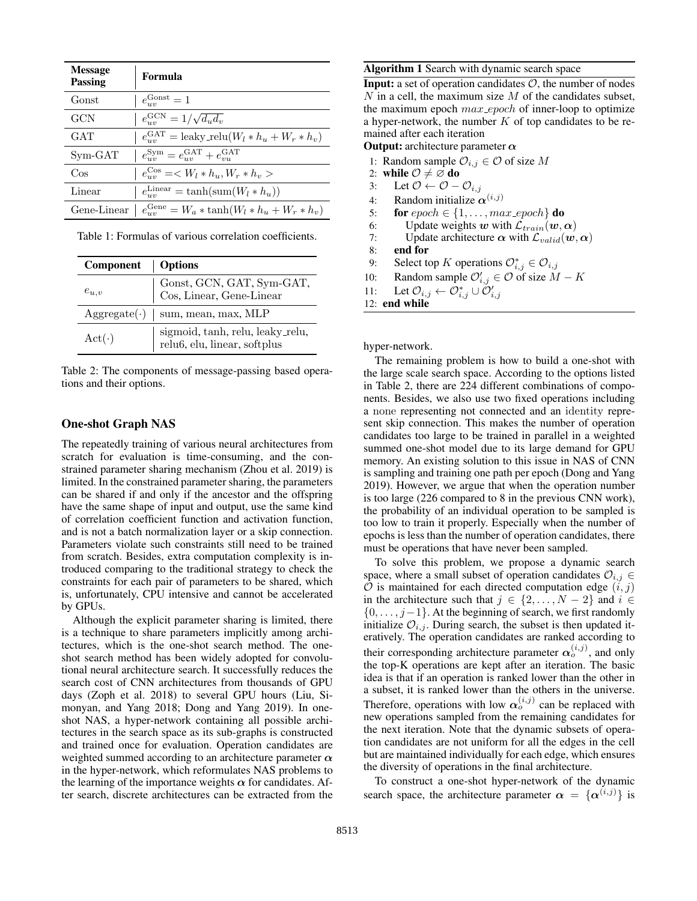| <b>Message</b><br><b>Passing</b> | Formula                                                           |
|----------------------------------|-------------------------------------------------------------------|
| Gonst                            | $e_{uv}^{\text{Gonst}}=1$                                         |
| GCN                              | $e_{uv}^{\text{GCN}} = 1/\sqrt{d_u d_v}$                          |
| GAT                              | $e_{uv}^{\text{GAT}} = \text{leaky\_relu}(W_l * h_u + W_r * h_v)$ |
| $Sym-GAT$                        | $e_{uv}^{\text{Sym}} = e_{uv}^{\text{GAT}} + e_{vu}^{\text{GAT}}$ |
| $\cos$                           | $e_{uv}^{\text{Cos}} = \langle W_l * h_u, W_r * h_v \rangle$      |
| Linear                           | $e_{uv}^{\text{Linear}} = \tanh(\text{sum}(W_l * h_u))$           |
| Gene-Linear                      | $e_{uv}^{\text{Gene}} = W_a * \tanh(W_l * h_u + W_r * h_v)$       |

Table 1: Formulas of various correlation coefficients.

| Component    | Options                                                                             |
|--------------|-------------------------------------------------------------------------------------|
| $e_{u,v}$    | Gonst, GCN, GAT, Sym-GAT,<br>Cos, Linear, Gene-Linear                               |
|              | $\text{Aggregate}(\cdot)$   sum, mean, max, MLP                                     |
| $Act(\cdot)$ | $sigmoid, \tanh, \text{relu}, \text{leaky\_relu},$ relu<br>6, elu, linear, softplus |

Table 2: The components of message-passing based operations and their options.

### One-shot Graph NAS

The repeatedly training of various neural architectures from scratch for evaluation is time-consuming, and the constrained parameter sharing mechanism (Zhou et al. 2019) is limited. In the constrained parameter sharing, the parameters can be shared if and only if the ancestor and the offspring have the same shape of input and output, use the same kind of correlation coefficient function and activation function, and is not a batch normalization layer or a skip connection. Parameters violate such constraints still need to be trained from scratch. Besides, extra computation complexity is introduced comparing to the traditional strategy to check the constraints for each pair of parameters to be shared, which is, unfortunately, CPU intensive and cannot be accelerated by GPUs.

Although the explicit parameter sharing is limited, there is a technique to share parameters implicitly among architectures, which is the one-shot search method. The oneshot search method has been widely adopted for convolutional neural architecture search. It successfully reduces the search cost of CNN architectures from thousands of GPU days (Zoph et al. 2018) to several GPU hours (Liu, Simonyan, and Yang 2018; Dong and Yang 2019). In oneshot NAS, a hyper-network containing all possible architectures in the search space as its sub-graphs is constructed and trained once for evaluation. Operation candidates are weighted summed according to an architecture parameter  $\alpha$ in the hyper-network, which reformulates NAS problems to the learning of the importance weights  $\alpha$  for candidates. After search, discrete architectures can be extracted from the

#### Algorithm 1 Search with dynamic search space

**Input:** a set of operation candidates  $\mathcal{O}$ , the number of nodes N in a cell, the maximum size  $M$  of the candidates subset, the maximum epoch  $max\_epoch$  of inner-loop to optimize a hyper-network, the number  $K$  of top candidates to be remained after each iteration

**Output:** architecture parameter  $\alpha$ 

- 1: Random sample  $\mathcal{O}_{i,j} \in \mathcal{O}$  of size M
- 2: while  $\mathcal{O} \neq \mathcal{O}$  do
- 3: Let  $\mathcal{O} \leftarrow \mathcal{O} \mathcal{O}_{i,j}$
- 4: Random initialize  $\alpha^{(i,j)}$
- 5: **for**  $epoch \in \{1, \ldots, max\_epoch\}$  **do**
- 6: Update weights w with  $\mathcal{L}_{train}(\boldsymbol{w}, \boldsymbol{\alpha})$ <br>7: Update architecture  $\boldsymbol{\alpha}$  with  $\mathcal{L}_{valid}(\boldsymbol{w}, \boldsymbol{\alpha})$
- Update architecture  $\alpha$  with  $\mathcal{L}_{valid}(w, \alpha)$
- 8: end for
- 9: Select top K operations  $\mathcal{O}_{i,j}^* \in \mathcal{O}_{i,j}$
- 10: Random sample  $\mathcal{O}'_{i,j} \in \mathcal{O}$  of size  $M K$
- 11: Let  $\mathcal{O}_{i,j} \leftarrow \mathcal{O}_{i,j}^* \cup \tilde{\mathcal{O}}'_{i,j}$

12: end while

hyper-network.

The remaining problem is how to build a one-shot with the large scale search space. According to the options listed in Table 2, there are 224 different combinations of components. Besides, we also use two fixed operations including a none representing not connected and an identity represent skip connection. This makes the number of operation candidates too large to be trained in parallel in a weighted summed one-shot model due to its large demand for GPU memory. An existing solution to this issue in NAS of CNN is sampling and training one path per epoch (Dong and Yang 2019). However, we argue that when the operation number is too large (226 compared to 8 in the previous CNN work), the probability of an individual operation to be sampled is too low to train it properly. Especially when the number of epochs is less than the number of operation candidates, there must be operations that have never been sampled.

To solve this problem, we propose a dynamic search space, where a small subset of operation candidates  $\mathcal{O}_{i,j} \in$  $O$  is maintained for each directed computation edge  $(i, j)$ in the architecture such that  $j \in \{2, ..., N - 2\}$  and  $i \in$  $\{0, \ldots, j-1\}$ . At the beginning of search, we first randomly initialize  $\mathcal{O}_{i,j}$ . During search, the subset is then updated iteratively. The operation candidates are ranked according to their corresponding architecture parameter  $\alpha_o^{(i,j)}$ , and only the top-K operations are kept after an iteration. The basic idea is that if an operation is ranked lower than the other in a subset, it is ranked lower than the others in the universe. Therefore, operations with low  $\alpha_o^{(i,j)}$  can be replaced with new operations sampled from the remaining candidates for the next iteration. Note that the dynamic subsets of operation candidates are not uniform for all the edges in the cell but are maintained individually for each edge, which ensures the diversity of operations in the final architecture.

To construct a one-shot hyper-network of the dynamic search space, the architecture parameter  $\alpha = {\alpha^{(i,j)}}$  is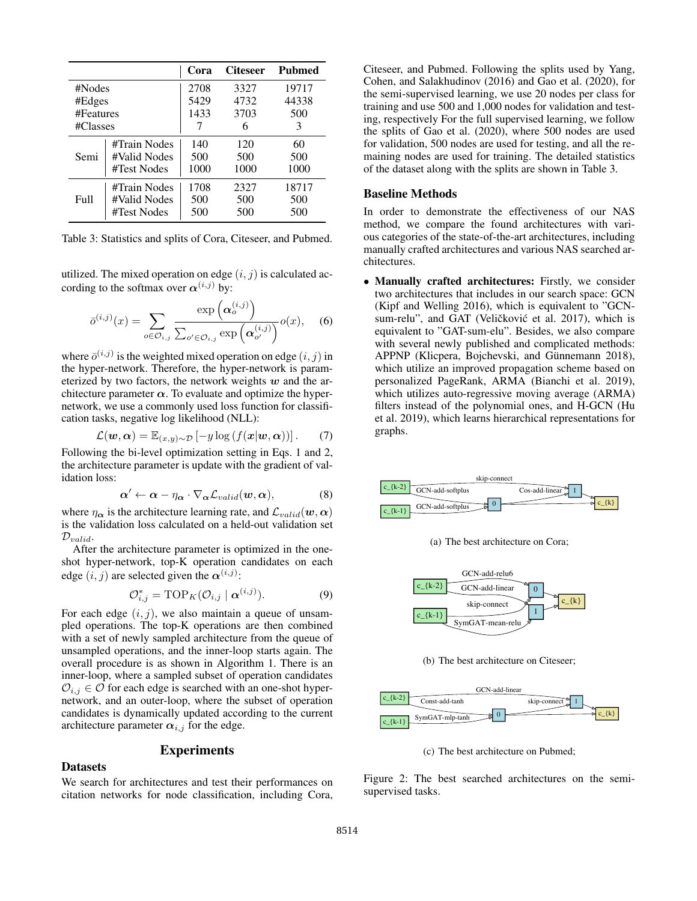|                   |              | Cora | <b>Citeseer</b> | <b>Pubmed</b> |
|-------------------|--------------|------|-----------------|---------------|
| #Nodes            |              | 2708 | 3327            | 19717         |
| #Edges            |              | 5429 | 4732            | 44338         |
| #Features         |              | 1433 | 3703            | 500           |
| #Classes          |              |      | 6               | 3             |
|                   | #Train Nodes | 140  | 120             | 60            |
| Semi              | #Valid Nodes | 500  | 500             | 500           |
|                   | #Test Nodes  | 1000 | 1000            | 1000          |
| F <sub>u</sub> 11 | #Train Nodes | 1708 | 2327            | 18717         |
|                   | #Valid Nodes | 500  | 500             | 500           |
|                   | #Test Nodes  | 500  | 500             | 500           |

Table 3: Statistics and splits of Cora, Citeseer, and Pubmed.

utilized. The mixed operation on edge  $(i, j)$  is calculated according to the softmax over  $\alpha^{(i,j)}$  by:

$$
\bar{o}^{(i,j)}(x) = \sum_{o \in \mathcal{O}_{i,j}} \frac{\exp\left(\boldsymbol{\alpha}_o^{(i,j)}\right)}{\sum_{o' \in \mathcal{O}_{i,j}} \exp\left(\boldsymbol{\alpha}_{o'}^{(i,j)}\right)} o(x), \quad (6)
$$

where  $\bar{o}^{(i,j)}$  is the weighted mixed operation on edge  $(i, j)$  in the hyper-network. Therefore, the hyper-network is parameterized by two factors, the network weights  $w$  and the architecture parameter  $\alpha$ . To evaluate and optimize the hypernetwork, we use a commonly used loss function for classification tasks, negative log likelihood (NLL):

$$
\mathcal{L}(\boldsymbol{w}, \boldsymbol{\alpha}) = \mathbb{E}_{(x,y)\sim\mathcal{D}}\left[-y \log \left(f(\boldsymbol{x}|\boldsymbol{w}, \boldsymbol{\alpha})\right)\right]. \tag{7}
$$

Following the bi-level optimization setting in Eqs. 1 and 2, the architecture parameter is update with the gradient of validation loss:

$$
\boldsymbol{\alpha}' \leftarrow \boldsymbol{\alpha} - \eta_{\boldsymbol{\alpha}} \cdot \nabla_{\boldsymbol{\alpha}} \mathcal{L}_{valid}(\boldsymbol{w}, \boldsymbol{\alpha}), \tag{8}
$$

where  $\eta_{\alpha}$  is the architecture learning rate, and  $\mathcal{L}_{valid}(\boldsymbol{w}, \alpha)$ is the validation loss calculated on a held-out validation set  $\mathcal{D}_{valid}.$ 

After the architecture parameter is optimized in the oneshot hyper-network, top-K operation candidates on each edge  $(i, j)$  are selected given the  $\alpha^{(i,j)}$ :

$$
\mathcal{O}_{i,j}^* = \text{TOP}_K(\mathcal{O}_{i,j} \mid \boldsymbol{\alpha}^{(i,j)}). \tag{9}
$$

For each edge  $(i, j)$ , we also maintain a queue of unsampled operations. The top-K operations are then combined with a set of newly sampled architecture from the queue of unsampled operations, and the inner-loop starts again. The overall procedure is as shown in Algorithm 1. There is an inner-loop, where a sampled subset of operation candidates  $\mathcal{O}_{i,j} \in \mathcal{O}$  for each edge is searched with an one-shot hypernetwork, and an outer-loop, where the subset of operation candidates is dynamically updated according to the current architecture parameter  $\alpha_{i,j}$  for the edge.

## Experiments

#### Datasets

We search for architectures and test their performances on citation networks for node classification, including Cora, Citeseer, and Pubmed. Following the splits used by Yang, Cohen, and Salakhudinov (2016) and Gao et al. (2020), for the semi-supervised learning, we use 20 nodes per class for training and use 500 and 1,000 nodes for validation and testing, respectively For the full supervised learning, we follow the splits of Gao et al. (2020), where 500 nodes are used for validation, 500 nodes are used for testing, and all the remaining nodes are used for training. The detailed statistics of the dataset along with the splits are shown in Table 3.

### Baseline Methods

In order to demonstrate the effectiveness of our NAS method, we compare the found architectures with various categories of the state-of-the-art architectures, including manually crafted architectures and various NAS searched architectures.

• Manually crafted architectures: Firstly, we consider two architectures that includes in our search space: GCN (Kipf and Welling 2016), which is equivalent to "GCNsum-relu", and GAT (Veličković et al. 2017), which is equivalent to "GAT-sum-elu". Besides, we also compare with several newly published and complicated methods: APPNP (Klicpera, Bojchevski, and Günnemann 2018), which utilize an improved propagation scheme based on personalized PageRank, ARMA (Bianchi et al. 2019), which utilizes auto-regressive moving average (ARMA) filters instead of the polynomial ones, and H-GCN (Hu et al. 2019), which learns hierarchical representations for graphs.



(a) The best architecture on Cora;



(b) The best architecture on Citeseer;



(c) The best architecture on Pubmed;

Figure 2: The best searched architectures on the semisupervised tasks.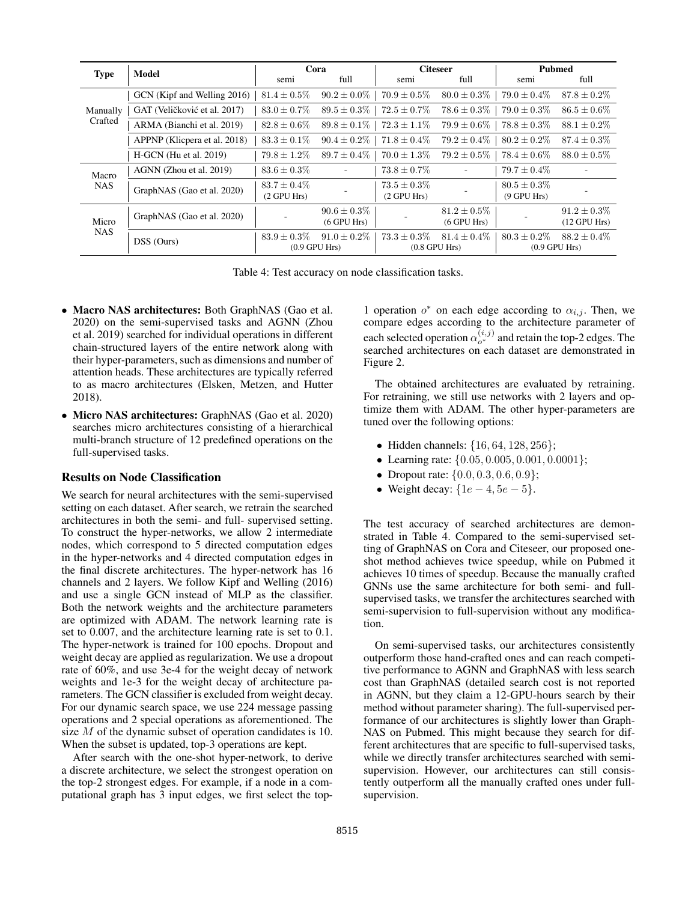|                     | Model                        | Cora                               |                                        | <b>Citeseer</b>                      |                                      | <b>Pubmed</b>                   |                                       |
|---------------------|------------------------------|------------------------------------|----------------------------------------|--------------------------------------|--------------------------------------|---------------------------------|---------------------------------------|
| <b>Type</b>         |                              | semi                               | full                                   | semi                                 | full                                 | semi                            | full                                  |
| Manually<br>Crafted | GCN (Kipf and Welling 2016)  | $81.4 \pm 0.5\%$                   | $90.2 \pm 0.0\%$                       | $70.9 \pm 0.5\%$                     | $80.0 \pm 0.3\%$                     | $79.0 \pm 0.4\%$                | $87.8 \pm 0.2\%$                      |
|                     | GAT (Veličković et al. 2017) | $83.0 \pm 0.7\%$                   | $89.5 \pm 0.3\%$                       | $72.5 \pm 0.7\%$                     | $78.6 \pm 0.3\%$                     | $79.0 \pm 0.3\%$                | $86.5 \pm 0.6\%$                      |
|                     | ARMA (Bianchi et al. 2019)   | $82.8 \pm 0.6\%$                   | $89.8 \pm 0.1\%$                       | $72.3 \pm 1.1\%$                     | $79.9 \pm 0.6\%$                     | $78.8 \pm 0.3\%$                | $88.1 \pm 0.2\%$                      |
|                     | APPNP (Klicpera et al. 2018) | $83.3 \pm 0.1\%$                   | $90.4 \pm 0.2\%$                       | $71.8 \pm 0.4\%$                     | $79.2 \pm 0.4\%$                     | $80.2 \pm 0.2\%$                | $87.4 \pm 0.3\%$                      |
|                     | H-GCN (Hu et al. 2019)       | $79.8 \pm 1.2\%$                   | $89.7 \pm 0.4\%$                       | $70.0 \pm 1.3\%$                     | $79.2 \pm 0.5\%$                     | $78.4 \pm 0.6\%$                | $88.0 \pm 0.5\%$                      |
| Macro<br><b>NAS</b> | AGNN (Zhou et al. 2019)      | $83.6 \pm 0.3\%$                   | ٠                                      | $73.8 \pm 0.7\%$                     |                                      | $79.7 \pm 0.4\%$                |                                       |
|                     | GraphNAS (Gao et al. 2020)   | $83.7 + 0.4\%$<br>$(2$ GPU Hrs $)$ |                                        | $73.5 \pm 0.3\%$<br>$(2$ GPU Hrs $)$ |                                      | $80.5 \pm 0.3\%$<br>(9 GPU Hrs) |                                       |
| Micro<br><b>NAS</b> | GraphNAS (Gao et al. 2020)   |                                    | $90.6 \pm 0.3\%$<br>$(6$ GPU Hrs $)$   |                                      | $81.2 \pm 0.5\%$<br>$(6$ GPU Hrs $)$ |                                 | $91.2 \pm 0.3\%$<br>$(12$ GPU Hrs $)$ |
|                     | DSS (Ours)                   | $83.9 \pm 0.3\%$                   | $91.0 \pm 0.2\%$<br>$(0.9$ GPU Hrs $)$ | $73.3 \pm 0.3\%$                     | $81.4 + 0.4\%$<br>$(0.8$ GPU Hrs $)$ | $80.3 \pm 0.2\%$                | $88.2 + 0.4\%$<br>$(0.9$ GPU Hrs $)$  |

Table 4: Test accuracy on node classification tasks.

- Macro NAS architectures: Both GraphNAS (Gao et al. 2020) on the semi-supervised tasks and AGNN (Zhou et al. 2019) searched for individual operations in different chain-structured layers of the entire network along with their hyper-parameters, such as dimensions and number of attention heads. These architectures are typically referred to as macro architectures (Elsken, Metzen, and Hutter 2018).
- Micro NAS architectures: GraphNAS (Gao et al. 2020) searches micro architectures consisting of a hierarchical multi-branch structure of 12 predefined operations on the full-supervised tasks.

#### Results on Node Classification

We search for neural architectures with the semi-supervised setting on each dataset. After search, we retrain the searched architectures in both the semi- and full- supervised setting. To construct the hyper-networks, we allow 2 intermediate nodes, which correspond to 5 directed computation edges in the hyper-networks and 4 directed computation edges in the final discrete architectures. The hyper-network has 16 channels and 2 layers. We follow Kipf and Welling (2016) and use a single GCN instead of MLP as the classifier. Both the network weights and the architecture parameters are optimized with ADAM. The network learning rate is set to 0.007, and the architecture learning rate is set to 0.1. The hyper-network is trained for 100 epochs. Dropout and weight decay are applied as regularization. We use a dropout rate of 60%, and use 3e-4 for the weight decay of network weights and 1e-3 for the weight decay of architecture parameters. The GCN classifier is excluded from weight decay. For our dynamic search space, we use 224 message passing operations and 2 special operations as aforementioned. The size M of the dynamic subset of operation candidates is 10. When the subset is updated, top-3 operations are kept.

After search with the one-shot hyper-network, to derive a discrete architecture, we select the strongest operation on the top-2 strongest edges. For example, if a node in a computational graph has 3 input edges, we first select the top-

1 operation  $o^*$  on each edge according to  $\alpha_{i,j}$ . Then, we compare edges according to the architecture parameter of each selected operation  $\alpha_{o^*}^{(i,j)}$  and retain the top-2 edges. The searched architectures on each dataset are demonstrated in Figure 2.

The obtained architectures are evaluated by retraining. For retraining, we still use networks with 2 layers and optimize them with ADAM. The other hyper-parameters are tuned over the following options:

- Hidden channels:  $\{16, 64, 128, 256\}$ ;
- Learning rate:  $\{0.05, 0.005, 0.001, 0.0001\}$ ;
- Dropout rate:  $\{0.0, 0.3, 0.6, 0.9\}$ ;
- Weight decay:  $\{1e-4, 5e-5\}$ .

The test accuracy of searched architectures are demonstrated in Table 4. Compared to the semi-supervised setting of GraphNAS on Cora and Citeseer, our proposed oneshot method achieves twice speedup, while on Pubmed it achieves 10 times of speedup. Because the manually crafted GNNs use the same architecture for both semi- and fullsupervised tasks, we transfer the architectures searched with semi-supervision to full-supervision without any modification.

On semi-supervised tasks, our architectures consistently outperform those hand-crafted ones and can reach competitive performance to AGNN and GraphNAS with less search cost than GraphNAS (detailed search cost is not reported in AGNN, but they claim a 12-GPU-hours search by their method without parameter sharing). The full-supervised performance of our architectures is slightly lower than Graph-NAS on Pubmed. This might because they search for different architectures that are specific to full-supervised tasks, while we directly transfer architectures searched with semisupervision. However, our architectures can still consistently outperform all the manually crafted ones under fullsupervision.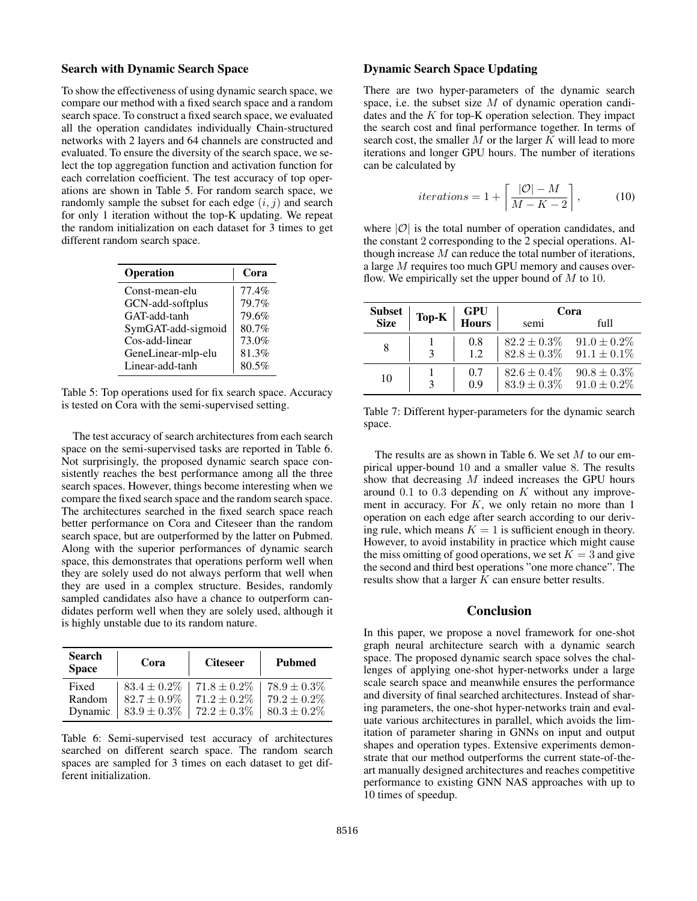#### Search with Dynamic Search Space

To show the effectiveness of using dynamic search space, we compare our method with a fixed search space and a random search space. To construct a fixed search space, we evaluated all the operation candidates individually Chain-structured networks with 2 layers and 64 channels are constructed and evaluated. To ensure the diversity of the search space, we select the top aggregation function and activation function for each correlation coefficient. The test accuracy of top operations are shown in Table 5. For random search space, we randomly sample the subset for each edge  $(i, j)$  and search for only 1 iteration without the top-K updating. We repeat the random initialization on each dataset for 3 times to get different random search space.

| Operation          | Cora  |
|--------------------|-------|
| Const-mean-elu     | 77.4% |
| GCN-add-softplus   | 79.7% |
| GAT-add-tanh       | 79.6% |
| SymGAT-add-sigmoid | 80.7% |
| Cos-add-linear     | 73.0% |
| GeneLinear-mlp-elu | 81.3% |
| Linear-add-tanh    | 80.5% |

Table 5: Top operations used for fix search space. Accuracy is tested on Cora with the semi-supervised setting.

The test accuracy of search architectures from each search space on the semi-supervised tasks are reported in Table 6. Not surprisingly, the proposed dynamic search space consistently reaches the best performance among all the three search spaces. However, things become interesting when we compare the fixed search space and the random search space. The architectures searched in the fixed search space reach better performance on Cora and Citeseer than the random search space, but are outperformed by the latter on Pubmed. Along with the superior performances of dynamic search space, this demonstrates that operations perform well when they are solely used do not always perform that well when they are used in a complex structure. Besides, randomly sampled candidates also have a chance to outperform candidates perform well when they are solely used, although it is highly unstable due to its random nature.

| <b>Search</b><br><b>Space</b> | Cora             | <b>Citeseer</b>  | <b>Pubmed</b>    |
|-------------------------------|------------------|------------------|------------------|
| Fixed                         | $83.4 \pm 0.2\%$ | $71.8 \pm 0.2\%$ | $78.9 \pm 0.3\%$ |
| Random                        | $82.7 \pm 0.9\%$ | $71.2 \pm 0.2\%$ | $79.2 \pm 0.2\%$ |
| Dynamic                       | $83.9 \pm 0.3\%$ | $72.2 \pm 0.3\%$ | $80.3 \pm 0.2\%$ |

Table 6: Semi-supervised test accuracy of architectures searched on different search space. The random search spaces are sampled for 3 times on each dataset to get different initialization.

## Dynamic Search Space Updating

There are two hyper-parameters of the dynamic search space, i.e. the subset size  $M$  of dynamic operation candidates and the  $K$  for top-K operation selection. They impact the search cost and final performance together. In terms of search cost, the smaller  $M$  or the larger  $K$  will lead to more iterations and longer GPU hours. The number of iterations can be calculated by

$$
iterations = 1 + \left\lceil \frac{|\mathcal{O}| - M}{M - K - 2} \right\rceil,
$$
 (10)

where  $|O|$  is the total number of operation candidates, and the constant 2 corresponding to the 2 special operations. Although increase  $M$  can reduce the total number of iterations, a large M requires too much GPU memory and causes overflow. We empirically set the upper bound of  $M$  to 10.

| <b>Subset</b> | Top-K | <b>GPU</b><br>Hours | Cora                                 |                                      |  |
|---------------|-------|---------------------|--------------------------------------|--------------------------------------|--|
| <b>Size</b>   |       |                     | semi                                 | full                                 |  |
|               |       | 0.8<br>1.2          | $82.2 \pm 0.3\%$<br>$82.8 \pm 0.3\%$ | $91.0 \pm 0.2\%$<br>$91.1 \pm 0.1\%$ |  |
| 10            |       | 0.7<br>0.9          | $82.6 \pm 0.4\%$<br>$83.9 \pm 0.3\%$ | $90.8 \pm 0.3\%$<br>$91.0 \pm 0.2\%$ |  |

Table 7: Different hyper-parameters for the dynamic search space.

The results are as shown in Table 6. We set  $M$  to our empirical upper-bound 10 and a smaller value 8. The results show that decreasing M indeed increases the GPU hours around  $0.1$  to  $0.3$  depending on K without any improvement in accuracy. For  $K$ , we only retain no more than 1 operation on each edge after search according to our deriving rule, which means  $K = 1$  is sufficient enough in theory. However, to avoid instability in practice which might cause the miss omitting of good operations, we set  $K = 3$  and give the second and third best operations "one more chance". The results show that a larger K can ensure better results.

#### Conclusion

In this paper, we propose a novel framework for one-shot graph neural architecture search with a dynamic search space. The proposed dynamic search space solves the challenges of applying one-shot hyper-networks under a large scale search space and meanwhile ensures the performance and diversity of final searched architectures. Instead of sharing parameters, the one-shot hyper-networks train and evaluate various architectures in parallel, which avoids the limitation of parameter sharing in GNNs on input and output shapes and operation types. Extensive experiments demonstrate that our method outperforms the current state-of-theart manually designed architectures and reaches competitive performance to existing GNN NAS approaches with up to 10 times of speedup.